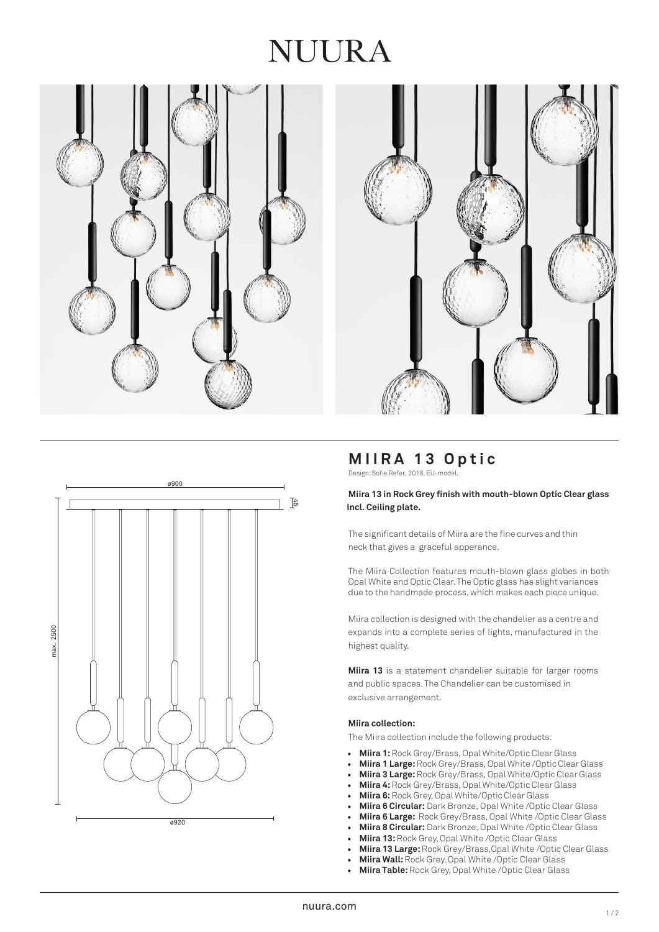# NUIRA







# **MIIRA 13 Optic**

Design: Sofie Refer, 2018. EU-model.

#### **Miira 13 in Rock Gre y finish with mouth -blown Optic Clear glass Incl. Ceiling plate.**

The significant details of Miira are the fine curves and thin neck that gives a graceful apperance.

The Miira Collection features mouth -blown glass globes in both Opal White and Optic Clea r. The Optic glass has slight variances due to the handmade process, which makes each piece unique.

Miira collection is designed with the chandelier as a centre and expands into a complete series of lights, manufactured in the highest qualit y.

Miira 13 is a statement chandelier suitable for larger rooms and public spaces. The Chandelier can be customised in exclusive arrangement.

#### **Miira collection:**

The Miira collection include the following products:

- **Miira 1:** Rock Grey/Brass, Opal White/Optic Clear Glass
- **Miira 1 Large:** Rock Grey/Brass, Opal White /Optic Clear Glass
- **Miira 3 Large:**Rock Grey/Brass, Opal White/Optic Clear Glass
- **Miira 4:** Rock Grey/Brass, Opal White/Optic Clear Glass
- **Miira 6:**Rock Grey, Opal White/Optic Clear Glass
- **Miira 6 Circular:** Dark Bronze, Opal White /Optic Clear Glass
- **Miira 6 Large:** Rock Grey/Brass, Opal White /Optic Clear Glass
- **Miira 8 Circular:** Dark Bronze, Opal White /Optic Clear Glass
- **Miira 13:** Rock Grey, Opal White /Optic Clear Glass
- **Miira 13 Large:** Rock Grey/Brass,Opal White /Optic Clear Glass
- **Miira Wall:**Rock Grey, Opal White /Optic Clear Glass
- **Miira Table:** Rock Grey, Opal White /Optic Clear Glass